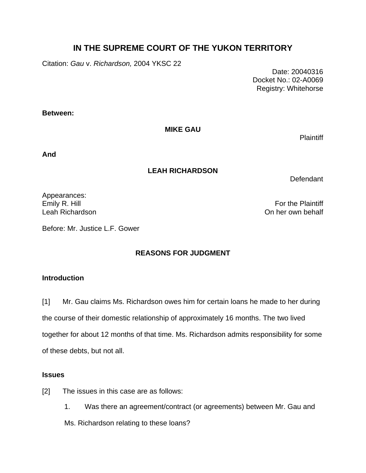# **IN THE SUPREME COURT OF THE YUKON TERRITORY**

Citation: *Gau* v. *Richardson,* 2004 YKSC 22

 Date: 20040316 Docket No.: 02-A0069 Registry: Whitehorse

**Between:** 

**MIKE GAU** 

**Plaintiff** 

**And** 

### **LEAH RICHARDSON**

Defendant

Appearances:

Emily R. Hill **For the Plaintiff** Leah Richardson On her own behalf

Before: Mr. Justice L.F. Gower

## **REASONS FOR JUDGMENT**

### **Introduction**

[1] Mr. Gau claims Ms. Richardson owes him for certain loans he made to her during the course of their domestic relationship of approximately 16 months. The two lived together for about 12 months of that time. Ms. Richardson admits responsibility for some of these debts, but not all.

### **Issues**

- [2] The issues in this case are as follows:
	- 1. Was there an agreement/contract (or agreements) between Mr. Gau and

Ms. Richardson relating to these loans?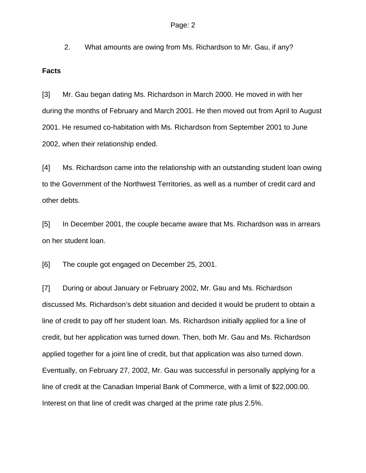2. What amounts are owing from Ms. Richardson to Mr. Gau, if any?

#### **Facts**

[3] Mr. Gau began dating Ms. Richardson in March 2000. He moved in with her during the months of February and March 2001. He then moved out from April to August 2001. He resumed co-habitation with Ms. Richardson from September 2001 to June 2002, when their relationship ended.

[4] Ms. Richardson came into the relationship with an outstanding student loan owing to the Government of the Northwest Territories, as well as a number of credit card and other debts.

[5] In December 2001, the couple became aware that Ms. Richardson was in arrears on her student loan.

[6] The couple got engaged on December 25, 2001.

[7] During or about January or February 2002, Mr. Gau and Ms. Richardson discussed Ms. Richardson's debt situation and decided it would be prudent to obtain a line of credit to pay off her student loan. Ms. Richardson initially applied for a line of credit, but her application was turned down. Then, both Mr. Gau and Ms. Richardson applied together for a joint line of credit, but that application was also turned down. Eventually, on February 27, 2002, Mr. Gau was successful in personally applying for a line of credit at the Canadian Imperial Bank of Commerce, with a limit of \$22,000.00. Interest on that line of credit was charged at the prime rate plus 2.5%.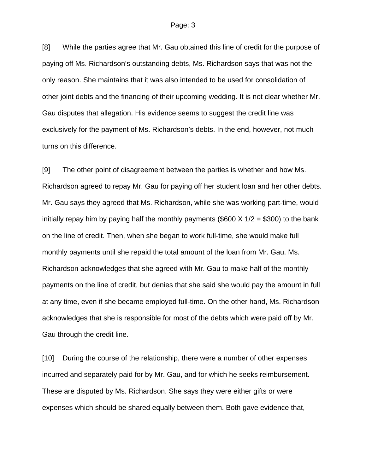[8] While the parties agree that Mr. Gau obtained this line of credit for the purpose of paying off Ms. Richardson's outstanding debts, Ms. Richardson says that was not the only reason. She maintains that it was also intended to be used for consolidation of other joint debts and the financing of their upcoming wedding. It is not clear whether Mr. Gau disputes that allegation. His evidence seems to suggest the credit line was exclusively for the payment of Ms. Richardson's debts. In the end, however, not much turns on this difference.

[9] The other point of disagreement between the parties is whether and how Ms. Richardson agreed to repay Mr. Gau for paying off her student loan and her other debts. Mr. Gau says they agreed that Ms. Richardson, while she was working part-time, would initially repay him by paying half the monthly payments (\$600  $\times$  1/2 = \$300) to the bank on the line of credit. Then, when she began to work full-time, she would make full monthly payments until she repaid the total amount of the loan from Mr. Gau. Ms. Richardson acknowledges that she agreed with Mr. Gau to make half of the monthly payments on the line of credit, but denies that she said she would pay the amount in full at any time, even if she became employed full-time. On the other hand, Ms. Richardson acknowledges that she is responsible for most of the debts which were paid off by Mr. Gau through the credit line.

[10] During the course of the relationship, there were a number of other expenses incurred and separately paid for by Mr. Gau, and for which he seeks reimbursement. These are disputed by Ms. Richardson. She says they were either gifts or were expenses which should be shared equally between them. Both gave evidence that,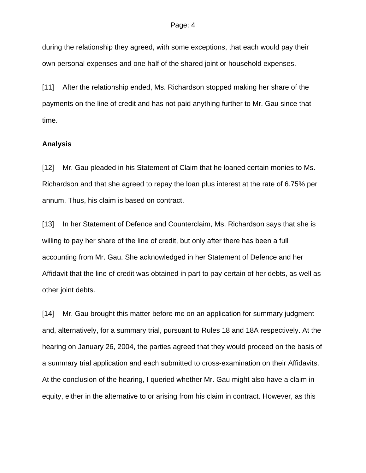#### Page: 4

during the relationship they agreed, with some exceptions, that each would pay their own personal expenses and one half of the shared joint or household expenses.

[11] After the relationship ended, Ms. Richardson stopped making her share of the payments on the line of credit and has not paid anything further to Mr. Gau since that time.

#### **Analysis**

[12] Mr. Gau pleaded in his Statement of Claim that he loaned certain monies to Ms. Richardson and that she agreed to repay the loan plus interest at the rate of 6.75% per annum. Thus, his claim is based on contract.

[13] In her Statement of Defence and Counterclaim, Ms. Richardson says that she is willing to pay her share of the line of credit, but only after there has been a full accounting from Mr. Gau. She acknowledged in her Statement of Defence and her Affidavit that the line of credit was obtained in part to pay certain of her debts, as well as other joint debts.

[14] Mr. Gau brought this matter before me on an application for summary judgment and, alternatively, for a summary trial, pursuant to Rules 18 and 18A respectively. At the hearing on January 26, 2004, the parties agreed that they would proceed on the basis of a summary trial application and each submitted to cross-examination on their Affidavits. At the conclusion of the hearing, I queried whether Mr. Gau might also have a claim in equity, either in the alternative to or arising from his claim in contract. However, as this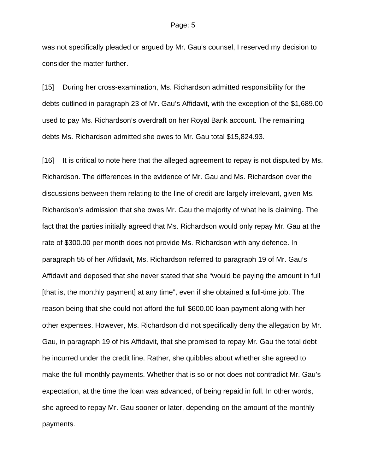was not specifically pleaded or argued by Mr. Gau's counsel, I reserved my decision to consider the matter further.

[15] During her cross-examination, Ms. Richardson admitted responsibility for the debts outlined in paragraph 23 of Mr. Gau's Affidavit, with the exception of the \$1,689.00 used to pay Ms. Richardson's overdraft on her Royal Bank account. The remaining debts Ms. Richardson admitted she owes to Mr. Gau total \$15,824.93.

[16] It is critical to note here that the alleged agreement to repay is not disputed by Ms. Richardson. The differences in the evidence of Mr. Gau and Ms. Richardson over the discussions between them relating to the line of credit are largely irrelevant, given Ms. Richardson's admission that she owes Mr. Gau the majority of what he is claiming. The fact that the parties initially agreed that Ms. Richardson would only repay Mr. Gau at the rate of \$300.00 per month does not provide Ms. Richardson with any defence. In paragraph 55 of her Affidavit, Ms. Richardson referred to paragraph 19 of Mr. Gau's Affidavit and deposed that she never stated that she "would be paying the amount in full [that is, the monthly payment] at any time", even if she obtained a full-time job. The reason being that she could not afford the full \$600.00 loan payment along with her other expenses. However, Ms. Richardson did not specifically deny the allegation by Mr. Gau, in paragraph 19 of his Affidavit, that she promised to repay Mr. Gau the total debt he incurred under the credit line. Rather, she quibbles about whether she agreed to make the full monthly payments. Whether that is so or not does not contradict Mr. Gau's expectation, at the time the loan was advanced, of being repaid in full. In other words, she agreed to repay Mr. Gau sooner or later, depending on the amount of the monthly payments.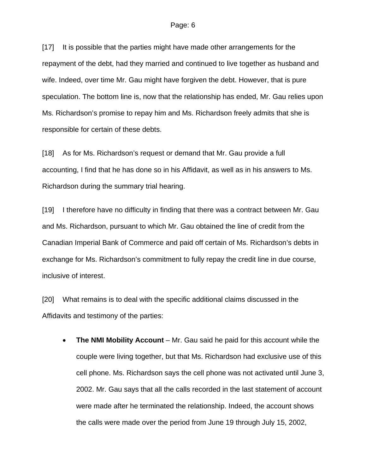[17] It is possible that the parties might have made other arrangements for the repayment of the debt, had they married and continued to live together as husband and wife. Indeed, over time Mr. Gau might have forgiven the debt. However, that is pure speculation. The bottom line is, now that the relationship has ended, Mr. Gau relies upon Ms. Richardson's promise to repay him and Ms. Richardson freely admits that she is responsible for certain of these debts.

[18] As for Ms. Richardson's request or demand that Mr. Gau provide a full accounting, I find that he has done so in his Affidavit, as well as in his answers to Ms. Richardson during the summary trial hearing.

[19] I therefore have no difficulty in finding that there was a contract between Mr. Gau and Ms. Richardson, pursuant to which Mr. Gau obtained the line of credit from the Canadian Imperial Bank of Commerce and paid off certain of Ms. Richardson's debts in exchange for Ms. Richardson's commitment to fully repay the credit line in due course, inclusive of interest.

[20] What remains is to deal with the specific additional claims discussed in the Affidavits and testimony of the parties:

• **The NMI Mobility Account** – Mr. Gau said he paid for this account while the couple were living together, but that Ms. Richardson had exclusive use of this cell phone. Ms. Richardson says the cell phone was not activated until June 3, 2002. Mr. Gau says that all the calls recorded in the last statement of account were made after he terminated the relationship. Indeed, the account shows the calls were made over the period from June 19 through July 15, 2002,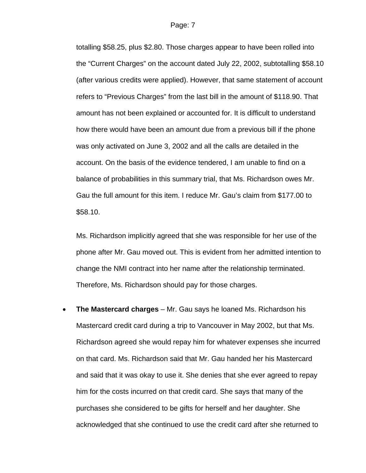totalling \$58.25, plus \$2.80. Those charges appear to have been rolled into the "Current Charges" on the account dated July 22, 2002, subtotalling \$58.10 (after various credits were applied). However, that same statement of account refers to "Previous Charges" from the last bill in the amount of \$118.90. That amount has not been explained or accounted for. It is difficult to understand how there would have been an amount due from a previous bill if the phone was only activated on June 3, 2002 and all the calls are detailed in the account. On the basis of the evidence tendered, I am unable to find on a balance of probabilities in this summary trial, that Ms. Richardson owes Mr. Gau the full amount for this item. I reduce Mr. Gau's claim from \$177.00 to \$58.10.

Ms. Richardson implicitly agreed that she was responsible for her use of the phone after Mr. Gau moved out. This is evident from her admitted intention to change the NMI contract into her name after the relationship terminated. Therefore, Ms. Richardson should pay for those charges.

• **The Mastercard charges** – Mr. Gau says he loaned Ms. Richardson his Mastercard credit card during a trip to Vancouver in May 2002, but that Ms. Richardson agreed she would repay him for whatever expenses she incurred on that card. Ms. Richardson said that Mr. Gau handed her his Mastercard and said that it was okay to use it. She denies that she ever agreed to repay him for the costs incurred on that credit card. She says that many of the purchases she considered to be gifts for herself and her daughter. She acknowledged that she continued to use the credit card after she returned to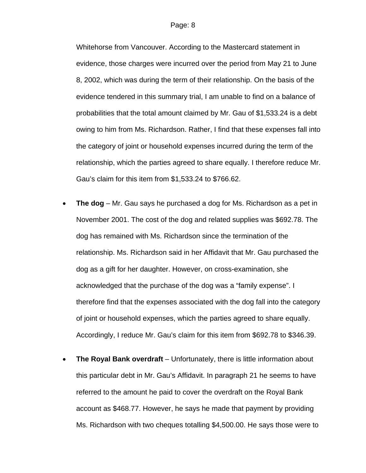Whitehorse from Vancouver. According to the Mastercard statement in evidence, those charges were incurred over the period from May 21 to June 8, 2002, which was during the term of their relationship. On the basis of the evidence tendered in this summary trial, I am unable to find on a balance of probabilities that the total amount claimed by Mr. Gau of \$1,533.24 is a debt owing to him from Ms. Richardson. Rather, I find that these expenses fall into the category of joint or household expenses incurred during the term of the relationship, which the parties agreed to share equally. I therefore reduce Mr. Gau's claim for this item from \$1,533.24 to \$766.62.

- **The dog** Mr. Gau says he purchased a dog for Ms. Richardson as a pet in November 2001. The cost of the dog and related supplies was \$692.78. The dog has remained with Ms. Richardson since the termination of the relationship. Ms. Richardson said in her Affidavit that Mr. Gau purchased the dog as a gift for her daughter. However, on cross-examination, she acknowledged that the purchase of the dog was a "family expense". I therefore find that the expenses associated with the dog fall into the category of joint or household expenses, which the parties agreed to share equally. Accordingly, I reduce Mr. Gau's claim for this item from \$692.78 to \$346.39.
- **The Royal Bank overdraft** Unfortunately, there is little information about this particular debt in Mr. Gau's Affidavit. In paragraph 21 he seems to have referred to the amount he paid to cover the overdraft on the Royal Bank account as \$468.77. However, he says he made that payment by providing Ms. Richardson with two cheques totalling \$4,500.00. He says those were to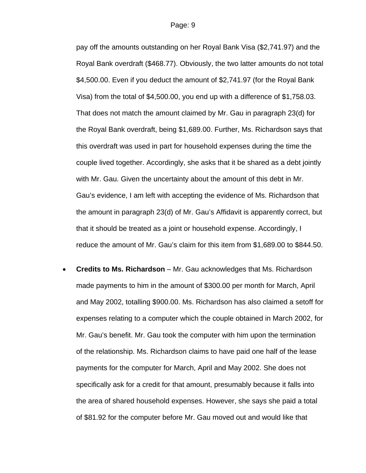pay off the amounts outstanding on her Royal Bank Visa (\$2,741.97) and the Royal Bank overdraft (\$468.77). Obviously, the two latter amounts do not total \$4,500.00. Even if you deduct the amount of \$2,741.97 (for the Royal Bank Visa) from the total of \$4,500.00, you end up with a difference of \$1,758.03. That does not match the amount claimed by Mr. Gau in paragraph 23(d) for the Royal Bank overdraft, being \$1,689.00. Further, Ms. Richardson says that this overdraft was used in part for household expenses during the time the couple lived together. Accordingly, she asks that it be shared as a debt jointly with Mr. Gau. Given the uncertainty about the amount of this debt in Mr. Gau's evidence, I am left with accepting the evidence of Ms. Richardson that the amount in paragraph 23(d) of Mr. Gau's Affidavit is apparently correct, but that it should be treated as a joint or household expense. Accordingly, I reduce the amount of Mr. Gau's claim for this item from \$1,689.00 to \$844.50.

• **Credits to Ms. Richardson** – Mr. Gau acknowledges that Ms. Richardson made payments to him in the amount of \$300.00 per month for March, April and May 2002, totalling \$900.00. Ms. Richardson has also claimed a setoff for expenses relating to a computer which the couple obtained in March 2002, for Mr. Gau's benefit. Mr. Gau took the computer with him upon the termination of the relationship. Ms. Richardson claims to have paid one half of the lease payments for the computer for March, April and May 2002. She does not specifically ask for a credit for that amount, presumably because it falls into the area of shared household expenses. However, she says she paid a total of \$81.92 for the computer before Mr. Gau moved out and would like that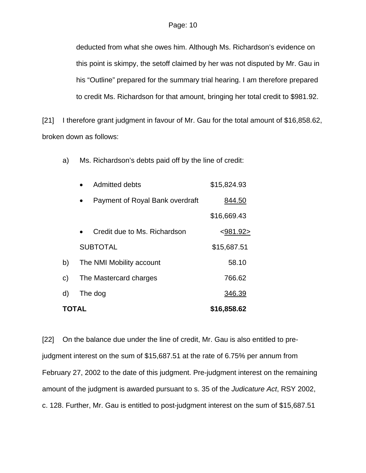deducted from what she owes him. Although Ms. Richardson's evidence on this point is skimpy, the setoff claimed by her was not disputed by Mr. Gau in his "Outline" prepared for the summary trial hearing. I am therefore prepared to credit Ms. Richardson for that amount, bringing her total credit to \$981.92.

[21] I therefore grant judgment in favour of Mr. Gau for the total amount of \$16,858.62, broken down as follows:

a) Ms. Richardson's debts paid off by the line of credit:

| TOTAL |                                 | \$16,858.62 |
|-------|---------------------------------|-------------|
| d)    | The dog                         | 346.39      |
| c)    | The Mastercard charges          | 766.62      |
| b)    | The NMI Mobility account        | 58.10       |
|       | <b>SUBTOTAL</b>                 | \$15,687.51 |
|       | Credit due to Ms. Richardson    | < 981.92 >  |
|       |                                 | \$16,669.43 |
|       | Payment of Royal Bank overdraft | 844.50      |
|       | Admitted debts                  | \$15,824.93 |

[22] On the balance due under the line of credit, Mr. Gau is also entitled to prejudgment interest on the sum of \$15,687.51 at the rate of 6.75% per annum from February 27, 2002 to the date of this judgment. Pre-judgment interest on the remaining amount of the judgment is awarded pursuant to s. 35 of the *Judicature Act*, RSY 2002, c. 128. Further, Mr. Gau is entitled to post-judgment interest on the sum of \$15,687.51